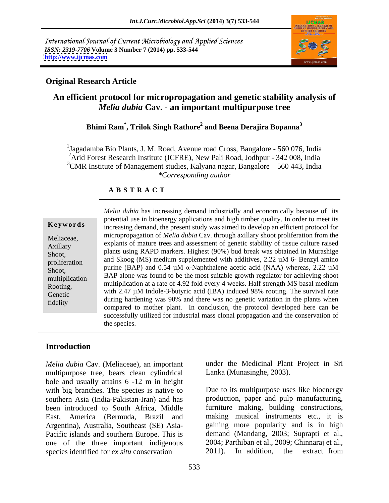International Journal of Current Microbiology and Applied Sciences *ISSN: 2319-7706* **Volume 3 Number 7 (2014) pp. 533-544 <http://www.ijcmas.com>**



### **Original Research Article**

# **An efficient protocol for micropropagation and genetic stability analysis of**  *Melia dubia* **Cav. - an important multipurpose tree**

# **Bhimi Ram\* , Trilok Singh Rathore<sup>2</sup> and Beena Derajira Bopanna<sup>3</sup>**

<sup>1</sup>Jagadamba Bio Plants, J. M. Road, Avenue road Cross, Bangalore - 560 076, India <sup>2</sup>Arid Forest Research Institute (ICFRE), New Pali Road, Jodhpur - 342 008, India  $3$ CMR Institute of Management studies, Kalyana nagar, Bangalore  $-560$  443, India *\*Corresponding author* 

#### **A B S T R A C T**

| Kevwords       |
|----------------|
| Meliaceae,     |
| Axillary       |
| Shoot,         |
| proliferation  |
| Shoot,         |
| multiplication |
| Rooting,       |

**Keywords**increasing demand, the present study was aimed to develop an efficient protocol for Meliaceae, micropropagation of *Melia dubia* Cav. through axillary shoot proliferation from the Axillary explains of mature trees and assessment of generic stability of ussue curture faised Shoot, plants using RAPD markers. Highest (90%) bud break was obtained in Murashige proliferation and Skoog (MS) mealum supplemented with additives, 2.22  $\mu$ M o- Benzyl and how purine (BAP) and 0.54  $\mu$ M  $\alpha$ -Naphthalene acetic acid (NAA) whereas, 2.22  $\mu$ M Shoot,<br>  $BAP$  alone was found to be the most suitable growth regulator for achieving shoot<br>  $BAP$  alone was found to be the most suitable growth regulator for achieving shoot  $\frac{1}{2}$  multiplication at a rate of 4.92 fold every 4 weeks. Half strength MS basal medium Genetic with 2.47 µM Indole-3-butyric acid (IBA) induced 98% rooting. The survival rate fidelity the compared to mother plant. In conclusion, the protocol developed here can be compared to mother plant. In conclusion, the protocol developed here can be *Melia dubia* has increasing demand industrially and economically because of its potential use in bioenergy applications and high timber quality. In order to meet its explants of mature trees and assessment of genetic stability of tissue culture raised and Skoog (MS) medium supplemented with additives, 2.22 µM 6- Benzyl amino during hardening was 90% and there was no genetic variation in the plants when successfully utilized for industrial mass clonal propagation and the conservation of the species.

## **Introduction**

*Melia dubia* Cav. (Meliaceae), an important multipurpose tree, bears clean cylindrical bole and usually attains 6 -12 m in height with big branches. The species is native to been introduced to South Africa, Middle Argentina), Australia, Southeast (SE) Asia- Pacific islands and southern Europe. This is one of the three important indigenous 2004; Parthiban et al., 2009; Chinnaraj et al., species identified for *ex situ* conservation 2011). In addition, the extract from species identified for *ex situ* conservation

under the Medicinal Plant Project in Sri Lanka (Munasinghe, 2003).

southern Asia (India-Pakistan-Iran) and has production, paper and pulp manufacturing, East, America (Bermuda, Brazil and making musical instruments etc., it is Due to its multipurpose uses like bioenergy furniture making, building constructions, gaining more popularity and is in high demand (Mandang, 2003; Suprapti et al., 2004; Parthiban et al., 2009; Chinnaraj et al., 2011). In addition, the extract from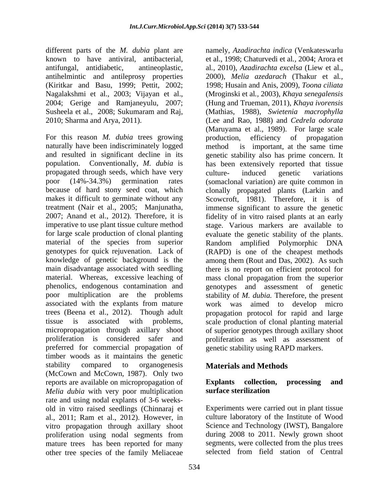different parts of the *M. dubia* plant are namely, *Azadirachta indica* (Venkateswarlu

For this reason *M. dubia* trees growing production, efficiency of propagation naturally have been indiscriminately logged propagated through seeds, which have very culture- induced genetic variations<br>poor  $(14\% - 34.3\%)$  germination rates (somaclonal variation) are quite common in preferred for commercial propagation of timber woods as it maintains the genetic stability compared to organogenesis **Materials and Methods** (McCown and McCown, 1987). Only two reports are available on micropropagation of **Explants** collection, processing and *Melia dubia* with very poor multiplication rate and using nodal explants of 3-6 weeks old in vitro raised seedlings (Chinnaraj et al., 2011; Ram et al., 2012). However, in vitro propagation through axillary shoot proliferation using nodal segments from mature trees has been reported for many<br>
other tree species of the family Meliaceae<br>
selected from field station of Central other tree species of the family Meliaceae

known to have antiviral, antibacterial, et al., 1998; Chaturvedi et al*.,* 2004; Arora et antifungal, antidiabetic, antineoplastic, al*.,* 2010), *Azadirachta excelsa* (Liew et al., antihelmintic and antileprosy properties 2000), *Melia azedarach* (Thakur et al*.,* (Kiritkar and Basu, 1999; Pettit, 2002; 1998; Husain and Anis, 2009), *Toona ciliata*  Nagalakshmi et al., 2003; Vijayan et al., (Mroginski et al*.,* 2003), *Khaya senegalensis*  2004; Gerige and Ramjaneyulu, 2007; (Hung and Trueman, 2011), *Khaya ivorensis* Susheela et al., 2008; Sukumaram and Raj, (Mathias, 1988), *Swietenia macrophylla* 2010; Sharma and Arya, 2011). (Lee and Rao, 1988) and *Cedrela odorata* and resulted in significant decline in its genetic stability also has prime concern. It population. Conventionally, *M. dubia* is has been extensively reported that tissue poor (14%-34.3%) germination rates (somaclonal variation) are quite common in because of hard stony seed coat, which clonally propagated plants (Larkin and makes it difficult to germinate without any Scowcroft, 1981). Therefore, it is of treatment (Nair et al., 2005; Manjunatha, immense significant to assure the genetic 2007; Anand et al., 2012). Therefore, it is fidelity of in vitro raised plants at an early imperative to use plant tissue culture method stage. Various markers are available to for large scale production of clonal planting evaluate the genetic stability of the plants. material of the species from superior Random amplified Polymorphic DNA genotypes for quick rejuvenation. Lack of (RAPD) is one of the cheapest methods knowledge of genetic background is the among them (Rout and Das, 2002). As such main disadvantage associated with seedling there is no report on efficient protocol for material. Whereas, excessive leaching of mass clonal propagation from the superior phenolics, endogenous contamination and genotypes and assessment of genetic poor multiplication are the problems stability of *M. dubia.* Therefore, the present associated with the explants from mature work was aimed to develop micro trees (Beena et al., 2012). Though adult propagation protocol for rapid and large tissue is associated with problems, scale production of clonal planting material micropropagation through axillary shoot of superior genotypes through axillary shoot proliferation is considered safer and proliferation as well as assessment of (Maruyama et al., 1989). For large scale production, efficiency of propagation is important, at the same time culture- induced genetic variations genetic stability using RAPD markers.

# **Materials and Methods**

# **Explants collection, processing and surface sterilization**

Experiments were carried out in plant tissue culture laboratory of the Institute of Wood Science and Technology (IWST), Bangalore during 2008 to 2011. Newly grown shoot segments, were collected from the plus trees selected from field station of Central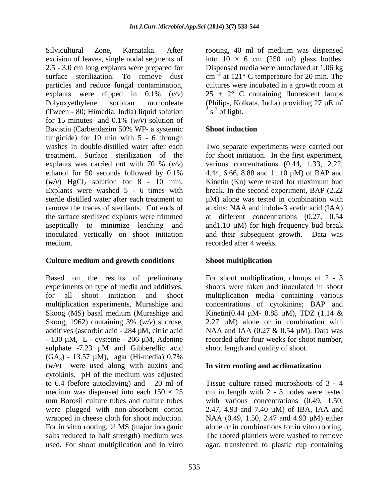Silvicultural Zone, Karnataka. After rooting, 40 ml of medium was dispensed excision of leaves, single nodal segments of into  $10 \times 6$  cm  $(250 \text{ ml})$  glass bottles. 2.5 - 3.0 cm long explants were prepared for Dispensed media were autoclaved at 1.06 kg surface sterilization. To remove dust  $cm^{-2}$  at 121° C temperature for 20 min. The particles and reduce fungal contamination, cultures were incubated in a growth room at explants were dipped in  $0.1\%$  ( $v/v$ )  $25 \pm 2$ ° C containing fluorescent lamps Polyoxyethylene sorbitan monooleate (Philips, Kolkata, India) providing 27 µE m (Tween - 80; Himedia, India) liquid solution  $2s<sup>-1</sup>$  of light. for 15 minutes and 0.1% (*w/v*) solution of Bavistin (Carbendazim 50% WP- a systemic fungicide) for 10 min with 5 - 6 through washes in double-distilled water after each Two separate experiments were carried out treatment. Surface sterilization of the for shoot initiation. In the first experiment, explants was carried out with 70 % (*v/v*) ethanol for 50 seconds followed by  $0.1\%$  4.44, 6.66, 8.88 and 11.10  $\mu$ M) of BAP and  $(w/v)$  HgCl<sub>2</sub> solution for 8 - 10 min. Kinetin (Kn) were tested for maximum bud Explants were washed 5 - 6 times with break. In the second experiment, BAP (2.22 sterile distilled water after each treatment to  $\mu$ M) alone was tested in combination with remove the traces of sterilants. Cut ends of auxins; NAA and indole-3 acetic acid (IAA) the surface sterilized explants were trimmed aseptically to minimize leaching and and1.10 µM) for high frequency bud break inoculated vertically on shoot initiation and their subsequent growth. Data was medium. recorded after 4 weeks.

### **Culture medium and growth conditions**

Based on the results of preliminary For shoot multiplication, clumps of 2 - 3 experiments on type of media and additives, shoots were taken and inoculated in shoot for all shoot initiation and shoot multiplication media containing various multiplication experiments, Murashige and concentrations of cytokinins; BAP and Skoog (MS) basal medium (Murashige and Kinetin(0.44 µM- 8.88 µM), TDZ (1.14 & Skoog, 1962) containing 3% (*w/v*) sucrose, 2.27 µM) alone or in combination with additives (ascorbic acid - 284 μM, citric acid - NAA and IAA (0.27 & 0.54 μM). Data was<br>- 130 μM, L - cysteine - 206 μM, Adenine - recorded after four weeks for shoot number, sulphate -7.23 µM and Gibberellic acid shoot length and quality of shoot.  $(GA_3) - 13.57 \mu M$ , agar (Hi-media) 0.7% (*w/v*) were used along with auxins and cytokinis. pH of the medium was adjusted to 6.4 (before autoclaving) and 20 ml of Tissue culture raised microshoots of 3 - 4 medium was dispensed into each  $150 \times 25$  cm in length with 2 - 3 nodes were tested mm Borosil culture tubes and culture tubes with various concentrations  $(0.49, 1.50,$ were plugged with non-absorbent cotton wrapped in cheese cloth for shoot induction. NAA (0.49, 1.50, 2.47 and 4.93  $\mu$ M) either For in vitro rooting, ½ MS (major inorganic alone or in combinations for in vitro rooting. salts reduced to half strength) medium was The rooted plantlets were washed to remove

**-** Construction of the construction  $\frac{2}{2}$   $\frac{1}{2}$  of light  $s^{-1}$  of light.  $\frac{1}{2}$  of light of light.

# **Shoot induction**

various concentrations (0.44, 1.33, 2.22, 4.44, 6.66, 8.88 and 11.10 µM) of BAP and at different concentrations (0.27, 0.54

### **Shoot multiplication**

NAA and IAA (0.27 & 0.54 µM). Data was recorded after four weeks for shoot number, shoot length and quality of shoot.

### **In vitro rooting and acclimatization**

used. For shoot multiplication and in vitro agar, transferred to plastic cup containing2.47, 4.93 and 7.40 µM) of IBA, IAA and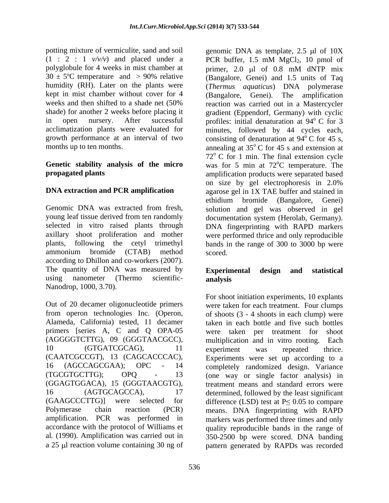potting mixture of vermiculite, sand and soil genomic DNA as template, 2.5 µl of 10X  $(1 : 2 : 1 \nu/\nu)$  and placed under a PCR buffer, 1.5 mM MgCl<sub>2</sub>, 10 pmol of polyglobule for 4 weeks in mist chamber at primer, 2.0 µl of 0.8 mM dNTP mix

according to Dhillon and co-workers (2007). The quantity of DNA was measured by **Experimental design and statistical** using nanometer (Thermo scientific- **analysis** Nanodrop, 1000, 3.70).

Alameda, California) tested, 11 decamer primers [series A, C and Q OPA-05 were taken per treatment for shoot (AGGGGTCTTG), 09 (GGGTAACGCC), amplification. PCR was performed in

 $30 \pm 5^{\circ}$ C temperature and  $> 90\%$  relative (Bangalore, Genei) and 1.5 units of Taq humidity (RH). Later on the plants were (*Thermus aquaticus*) DNA polymerase kept in mist chamber without cover for 4 (Bangalore, Genei). The amplification weeks and then shifted to a shade net (50% reaction was carried out in a Mastercycler shade) for another 2 weeks before placing it gradient (Eppendorf, Germany) with cyclic in open nursery. After successful profiles: initial denaturation at 94°C for 3 acclimatization plants were evaluated for minutes, followed by 44 cycles each, growth performance at an interval of two consisting of denaturation at 94<sup>°</sup>C for 45 s, months up to ten months. annealing at 35<sup>°</sup>C for 45 s and extension at **Genetic stability analysis of the micro** was for 5 min at 72 **propagated plants** amplification products were separated based **DNA extraction and PCR amplification** agarose gel in 1X TAE buffer and stained in Genomic DNA was extracted from fresh, solution and gel was observed in gel young leaf tissue derived from ten randomly documentation system (Herolab, Germany). selected in vitro raised plants through DNA fingerprinting with RAPD markers axillary shoot proliferation and mother were performed thrice and only reproducible plants, following the cetyl trimethyl bands in the range of 300 to 3000 bp were ammonium bromide (CTAB) method PCR buffer,  $1.5 \text{ mM } MgCl<sub>2</sub>$ ,  $10 \text{ pmol of}$ primer,  $2.0 \mu l$  of  $0.8 \mu M$  dNTP mix  $\degree$  C for 3  $\rm^{\circ}$  C for 45 s,  $\rm ^{o}$  C for 45 s and extension at  $72^{\circ}$  C for 1 min. The final extension cycle <sup>o</sup>C temperature. The on size by gel electrophoresis in 2.0% ethidium bromide (Bangalore, Genei) scored.

# **Experimental design and statistical analysis**

Out of 20 decamer oligonucleotide primers were taken for each treatment. Four clumps from operon technologies Inc. (Operon, of shoots (3 - 4 shoots in each clump) were 10 (GTGATCGCAG), 11 experiment was repeated thrice. (CAATCGCCGT), 13 (CAGCACCCAC), Experiments were set up according to a 16 (AGCCAGCGAA); OPC - 14 completely randomized design. Variance (TGCGTGCTTG); OPQ - 13 (one way or single factor analysis) in (GGAGTGGACA), 15 (GGGTAACGTG), treatment means and standard errors were 16 (AGTGCAGCCA), 17 determined, followed by the least significant  $(GAAGCCTTG)$  were selected for difference (LSD) test at  $P \leq 0.05$  to compare Polymerase chain reaction (PCR) means. DNA fingerprinting with RAPD accordance with the protocol of Williams et quality reproducible bands in the range of al*.* (1990). Amplification was carried out in 350-2500 bp were scored. DNA banding a 25 µl reaction volume containing 30 ng of pattern generated by RAPDs was recorded For shoot initiation experiments, 10 explants taken in each bottle and five such bottles were taken per treatment for multiplication and in vitro rooting. experiment was repeated thrice. markers was performed three times and only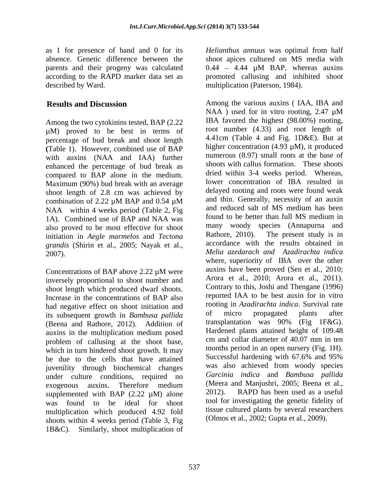Among the two cytokinins tested, BAP (2.22 µM) proved to be best in terms of percentage of bud break and shoot length **(**Table 1). However, combined use of BAP with auxins (NAA and IAA) further enhanced the percentage of bud break as compared to BAP alone in the medium. Maximum (90%) bud break with an average shoot length of 2.8 cm was achieved by NAA within 4 weeks period (Table 2, Fig and reduced salt of MS medium has been<br>14). Combined use of PAR and NAA was found to be better than full MS medium in 1A). Combined use of BAP and NAA was also proved to be most effective for shoot many woody species (Annapurna and initiation in *Aegle marmelos* and *Tectora* Rathore, 2010). The present study is in initiation in *Aegle marmelos* and *Tectona grandis* (Shirin et al., 2005; Nayak et al.,

inversely proportional to shoot number and shoot length which produced dwarf shoots. Increase in the concentrations of BAP also had negative effect on shoot initiation and<br>its subsequent growth in *Bambusa pallida* of micro propagated plants after its subsequent growth in *Bambusa pallida* (Beena and Rathore, 2012). Addition of auxins in the multiplication medium posed<br>
numerod plants attained height of 109.48<br>
numerod collar diameter of 40.07 mm in ten problem of callusing at the shoot base, which in turn hindered shoot growth. It may months period in an open nursery (Fig. 1H).<br>he due to the cells that have attained Successful hardening with 67.6% and 95% be due to the cells that have attained juvenility through biochemical changes was also achieved from woody species<br>under culture conditions required no Garcinia indica and Bambusa pallida under culture conditions, required no<br>express and Manjushri, 2005; Beena et al.,<br>(Meera and Manjushri, 2005; Beena et al., supplemented with BAP  $(2.22 \mu M)$  alone  $2012$ . RAPD has been used as a useful multiplication which produced 4.92 fold shoots within 4 weeks period (Table 3, Fig 1B&C). Similarly, shoot multiplication of

as 1 for presence of band and 0 for its *Helianthus annuus* was optimal from half absence. Genetic difference between the shoot apices cultured on MS media with parents and their progeny was calculated  $0.44 - 4.44 \mu M$  BAP, whereas auxins according to the RAPD marker data set as promoted callusing and inhibited shoot described by Ward. multiplication (Paterson, 1984).

**Results and Discussion** Among the various auxins ( IAA, IBA and combination of 2.22  $\mu$ M BAP and 0.54  $\mu$ M and thin. Generally, necessity of an auxin 2007). *Melia azedarach and Azadirachta indica* Concentrations of BAP above  $2.22 \mu M$  were auxins have been proved (Sen et al., 2010; exogenous auxins. Therefore medium (Meera and Manjushri, 2005; Beena et al., was found to be ideal for shoot tool for investigating the genetic fidelity of NAA ) used for in vitro rooting, 2.47 µM IBA favored the highest (98.00%) rooting, root number (4.33) and root length of 4.41cm (Table 4 and Fig. 1D&E). But at higher concentration (4.93 µM), it produced numerous (8.97) small roots at the base of shoots with callus formation. These shoots dried within 3-4 weeks period. Whereas, lower concentration of IBA resulted in delayed rooting and roots were found weak and thin. Generally, necessity of an auxin and reduced salt of MS medium has been found to be better than full MS medium in many woody species (Annapurna and Rathore, 2010). The present study is in accordance with the results obtained in where, superiority of IBA over the other auxins have been proved (Sen et al., 2010; Arora et al., 2010; Arora et al., 2011). Contrary to this, Joshi and Thengane (1996) reported IAA to be best auxin for in vitro rooting in *Azadirachta indica*. Survival rate of micro propagated plants after transplantation was 90% (Fig 1F&G). Hardened plants attained height of 109.48 cm and collar diameter of 40.07 mm in ten months period in an open nursery (Fig. 1H). Successful hardening with 67.6% and 95% was also achieved from woody species *Garcinia indica* and *Bambusa pallida* (Meera and Manjushri, 2005; Beena et al., 2012). RAPD has been used as a useful tissue cultured plants by several researchers (Olmos et al., 2002; Gupta et al., 2009).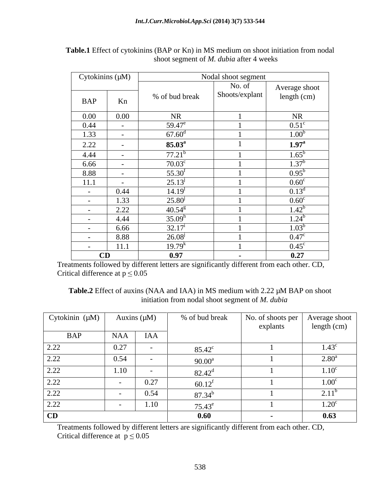|            | Cytokinins $(\mu M)$ |                    | Nodal shoot segment |                              |
|------------|----------------------|--------------------|---------------------|------------------------------|
|            |                      |                    | No. of              |                              |
| BAP        | Kn                   | % of bud break     | Shoots/explant      | Average shoot<br>length (cm) |
| $0.00\,$   | $0.00\,$             | <b>NR</b>          |                     | <b>NR</b>                    |
| 0.44       | $\sim$               | $59.47^e$          |                     | $0.51^{\circ}$               |
| 1.33       |                      | $67.60^{\rm d}$    |                     | 1.00 <sup>b</sup>            |
| 2.22       | $\sim$               | $85.03^{\rm a}$    |                     | $1.97^{\rm a}$               |
| 4.44       | $\sim$ $-$           | $77.21^b$          |                     | $1.65^{\mathrm{b}}$          |
| 6.66       |                      | $70.03^{\circ}$    |                     | $1.37^{b}$                   |
| 8.88       | $\sim$ $-$           | $55.30^f$          |                     | $0.95^{\rm b}$               |
| 11.1       | $\sim$ $-$           | $25.13^{j}$        |                     | $0.60^{\circ}$               |
| $\sim$ $-$ | 0.44                 | 14.19 <sup>1</sup> |                     | $0.13^d$                     |
| $\sim$ $-$ | 1.33                 | $25.80^{j}$        |                     | $0.60^{\circ}$               |
| $\sim$ $-$ | 2.22                 | $40.54^{8}$        |                     | $1.42^b$                     |
| $\sim$ $-$ | 4.44                 | $35.09^h$          |                     | $1.24^b$                     |
| $\sim$ $-$ | 6.66                 | $32.17^{\rm i}$    |                     | $1.03^b$                     |
| $\sim$ $-$ | 8.88                 | $26.08^{j}$        |                     | $0.47^{\circ}$               |
|            | 11.1                 | $19.79^{k}$        |                     | $0.45^{\circ}$               |
|            | CD                   | 0.97               | $\sim$              | 0.27                         |

**Table.1** Effect of cytokinins (BAP or Kn) in MS medium on shoot initiation from nodal shoot segment of *M. dubia* after 4 weeks

Treatments followed by different letters are significantly different from each other. CD, Critical difference at  $p \leq 0.05$ 

Table.2 Effect of auxins (NAA and IAA) in MS medium with 2.22  $\mu$ M BAP on shoot initiation from nodal shoot segment of *M. dubia*

| Cytokinin (µM) |      | Auxins $(\mu M)$ | % of bud break  | No. of shoots per   Average shoot  <br>explants | length (cm)       |
|----------------|------|------------------|-----------------|-------------------------------------------------|-------------------|
| <b>BAP</b>     | NAA  | IAA              |                 |                                                 |                   |
| 2.22           | 0.27 |                  | $85.42^{\circ}$ |                                                 | $1.43^{\circ}$    |
| 2.22           | 0.54 |                  | $90.00^a$       |                                                 | $2.80^{\rm a}$    |
| 2.22           | 1.10 |                  | $82.42^{\rm d}$ |                                                 | 1.10 <sup>c</sup> |
| 2.22           |      | 0.27<br>0.21     | $60.12^{\rm f}$ |                                                 | 1.00 <sup>c</sup> |
| 2.22           |      | 0.54             | $87.34^{\rm b}$ |                                                 | $2.11^{b}$        |
| 2.22           |      | 1.10             | $75.43^e$       |                                                 | 1.20 <sup>c</sup> |
| CD             |      |                  | 0.60            | $\sim$                                          | 0.63              |

Treatments followed by different letters are significantly different from each other. CD, Critical difference at  $p \le 0.05$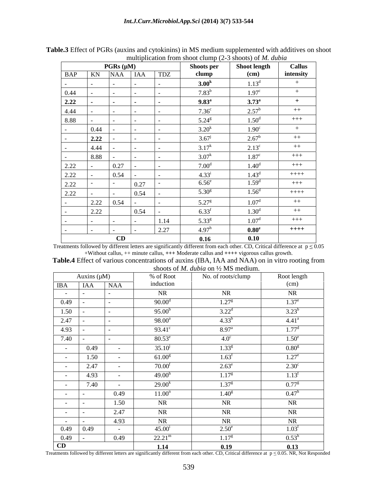|               |      | $PGRs (\mu M)$           |                |                                     | <b>Shoots per</b> | <b>Shoot length</b> | <b>Callus</b> |
|---------------|------|--------------------------|----------------|-------------------------------------|-------------------|---------------------|---------------|
|               |      |                          | BAP KN NAA IAA | $\overline{\text{T}DZ}$             | clump             | (cm)                | intensity     |
|               |      |                          |                |                                     | 3.00 <sup>k</sup> | $1.13^d$            | $^{+}$        |
| 0.44          |      | <b>Service</b> State     | $\sim$ $\sim$  |                                     | $7.83^{b}$        | 1.97 <sup>c</sup>   | $+$           |
| 2.22          |      | <b>Contract Contract</b> | .              |                                     | $9.83^{\rm a}$    | $3.73^{\rm a}$      | $+$           |
| 4.44          |      |                          |                |                                     | 7.36 <sup>c</sup> | $2.57^{\rm b}$      | $++$          |
| 8.88          | .    | the contract of the      |                |                                     | $5.24^{\rm g}$    | 1.50 <sup>d</sup>   | $+++$         |
|               | 0.44 |                          |                |                                     | $3.20^{k}$        | 1.90 <sup>c</sup>   | $+$           |
|               | 2.22 |                          |                |                                     | $3.67^{j}$        | 2.67 <sup>b</sup>   | $++$          |
|               | 4.44 |                          |                |                                     | $3.17^{k}$        | $2.13^{\circ}$      | $++$          |
| $\sim$ $\sim$ | 8.88 |                          |                |                                     | $3.07^k$          | $1.87^\circ$        | $+++$         |
| 2.22          |      | 0.27                     |                |                                     | 7.00 <sup>d</sup> | 1.40 <sup>d</sup>   | $+++$         |
| ——<br>2.22    |      | 0.54                     |                |                                     | $4.33^{i}$        | $1.43^d$            | $++++-$       |
| 2.22          |      |                          | 0.27           |                                     | $6.56^e$          | $\overline{1.5}9^d$ | $+++$         |
| 2.22          |      |                          | 0.54           |                                     | $5.30^{8}$        | 1.56 <sup>d</sup>   | $+++++$       |
|               | 2.22 | 0.54                     |                |                                     | $5.27^{\rm g}$    | 1.07 <sup>d</sup>   | $++$          |
|               | 2.22 |                          | 0.54           |                                     | $6.33^{f}$        | 1.30 <sup>d</sup>   | $++$          |
|               |      | $\sim$                   | $\sim$         | 1.14                                | $5.33^{8}$        | 1.07 <sup>d</sup>   | $+++$         |
|               |      | <b>Service</b>           |                | $\begin{array}{c} 2.27 \end{array}$ | 4.97 <sup>h</sup> | $0.80^\mathrm{e}$   | $++++$        |
|               |      |                          | CD             |                                     | 0.16              | 0.10                |               |

**Table.3** Effect of PGRs (auxins and cytokinins) in MS medium supplemented with additives on shoot multiplication from shoot clump (2-3 shoots) of *M. dubia*

Treatments followed by different letters are significantly different from each other. CD, Critical difference at  $p \le 0.05$ +Without callus, ++ minute callus, **+++** Moderate callus and **++++** vigorous callus growth.

| Table.4 Effect<br>Lus concentrations of auxins (IBA, IAA and NAA) on in vitro rooting from<br>of various |  |
|----------------------------------------------------------------------------------------------------------|--|
| $\cdot$ on $\frac{1}{2}$ MS medium.<br>≀n∩∩fs<br><i>dubia</i> on                                         |  |

| Auxins $(\mu M)$                                                         |                               | % of Root          | No. of roots/clump | Root length       |
|--------------------------------------------------------------------------|-------------------------------|--------------------|--------------------|-------------------|
| <b>IBA</b><br><b>IAA</b>                                                 | <b>NAA</b>                    | induction          |                    | (cm)              |
| $\sim 100$                                                               |                               | <b>NR</b>          | NR                 | <b>NR</b>         |
| the control of the control of the control<br>0.49                        | $\sim$ $\sim$                 | $90.00^{\rm d}$    | $1.27^{\rm g}$     | $1.37^e$          |
| 1.50                                                                     |                               | 95.00 <sup>b</sup> | $3.22^{\rm d}$     | $3.23^{b}$        |
| $\frac{1}{2.47}$                                                         |                               | $98.00^{\rm a}$    | $4.33^{b}$         | $4.41^{\rm a}$    |
| 4.93                                                                     | the company of the company of | $93.41^{\circ}$    | 8.97 <sup>a</sup>  | $1.77^{\rm d}$    |
| the control of the control of the control of<br>7.40                     |                               | $80.53^e$          | $4.0^\circ$        | $1.50^e$          |
| 0.49<br><b>Contract Contract</b>                                         | $\sim 100$ m $^{-1}$          | $35.10^{j}$        | $1.33^{g}$         | $0.80^{\rm g}$    |
| 1.50<br>$\sim$ 100 $\sim$                                                | <b>Contract Contract</b>      | 61.00 <sup>g</sup> | $1.63^f$           | $1.27^e$          |
| 2.47<br>$\sim 100$ m $^{-1}$                                             | <b>Contract Contract</b>      | $70.00^{\rm f}$    | $2.63^e$           | $2.30^{\circ}$    |
| _____<br>4.93                                                            | $\sim$ 100 $\sim$             | 49.00 <sup>h</sup> | 1.17 <sup>g</sup>  | $-$<br>$1.13^f$   |
| 7.40<br>$\sim$ 100 $\sim$                                                | <b>Contract Contract</b>      | $29.00^{k}$        | 1.37 <sup>g</sup>  | $0.77^g$          |
| the control of the control of the control of<br><b>Contract Contract</b> | 0.49                          | 11.00 <sup>n</sup> | 1.40 <sup>g</sup>  | $0.47^{\rm h}$    |
| $\sim 100$ m $^{-1}$                                                     | 1.50                          | NR                 | NR                 | NR                |
| the control of the control of the control of<br>$\sim 100$ m $^{-1}$     | 2.47                          | NR                 | NR                 | <b>NR</b>         |
| $\sim 10^{-10}$ m $^{-1}$                                                | 4.93                          | NR.                | NR                 | NR                |
| 0.49<br>0.49                                                             | $\sim 100$ km s $^{-1}$       | $45.00^{\rm i}$    | $2.50^e$           | 1.03 <sup>f</sup> |
|                                                                          | 0.49                          | $22.21^{\rm m}$    | $1.17^{g}$         | $0.53^{\rm h}$    |
| $\frac{0.49}{CD}$                                                        |                               | 1.14               | 0.19               | 0.13              |

Treatments followed by different letters are significantly different from each other. CD, Critical difference at  $p \le 0.05$ . NR, Not Responded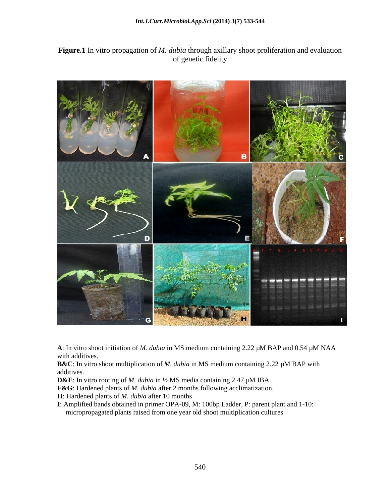## **Figure.1** In vitro propagation of *M. dubia* through axillary shoot proliferation and evaluation of genetic fidelity



**A**: In vitro shoot initiation of *M. dubia* in MS medium containing 2.22 µM BAP and 0.54 µM NAA with additives.

**B&C**: In vitro shoot multiplication of *M. dubia* in MS medium containing 2.22 µM BAP with additives.

**D&E**: In vitro rooting of *M. dubia* in ½ MS media containing 2.47 µM IBA.

**F&G**: Hardened plants of *M. dubia* after 2 months following acclimatization.

**H**: Hardened plants of *M. dubia* after 10 months

**I**: Amplified bands obtained in primer OPA-09, M: 100bp Ladder, P: parent plant and 1-10: micropropagated plants raised from one year old shoot multiplication cultures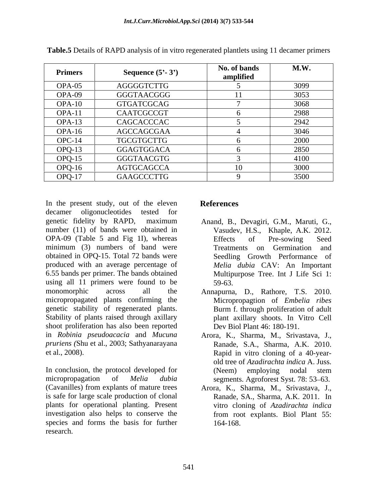| <b>Primers</b> | Sequence $(5^{\circ} - 3^{\circ})$ | No. of bands<br>amplified | M.W. |
|----------------|------------------------------------|---------------------------|------|
| OPA-05         | AGGGGTCTTG                         |                           | 3099 |
| OPA-09         | GGGTAACGGG                         |                           | 3053 |
| $OPA-10$       | GTGATCGCAG                         |                           | 3068 |
| $OPA-11$       | CAATCGCCGT                         |                           | 2988 |
| $OPA-13$       | CAGCACCCAC                         |                           | 2942 |
| $OPA-16$       | AGCCAGCGAA                         |                           | 3046 |
| $OPC-14$       | TGCGTGCTTG                         |                           | 2000 |
| $OPQ-13$       | GGAGTGGACA                         |                           | 2850 |
| $OPQ-15$       | GGGTAACGTG                         |                           | 4100 |
| $OPQ-16$       | AGTGCAGCCA                         |                           | 3000 |
| $OPQ-17$       | GAAGCCCTTG                         |                           | 3500 |

**Table.5** Details of RAPD analysis of in vitro regenerated plantlets using 11 decamer primers

In the present study, out of the eleven References decamer oligonucleotides tested for genetic fidelity by RAPD, maximum Anand, B., Devagiri, G.M., Maruti, G., number (11) of bands were obtained in Anand, B., Devagiri, G.M., Maruti, G., Vasudev, H.S., Khaple, A.K. 2012. OPA-09 (Table 5 and Fig 1I), whereas Effects of Pre-sowing Seed minimum (3) numbers of band were Treatments on Germination and obtained in OPQ-15. Total 72 bands were produced with an average percentage of 6.55 bands per primer. The bands obtained Multipurpose Tree. Int J Life Sci 1: using all 11 primers were found to be 59-63. monomorphic across all the Annapurna, D., Rathore, T.S. 2010. micropropagated plants confirming the Micropropagtion of *Embelia ribes* genetic stability of regenerated plants. Stability of plants raised through axillary shoot proliferation has also been reported in *Robinia pseudoacacia* and *Mucuna* Arora, K., Sharma, M., Srivastava, J., *pruriens (Shu et al., 2003; Sathyanarayana* Ranade, S.A., Sharma, A.K. 2010. *pruriens* (Shu et al., 2003; Sathyanarayana Ranade, S.A., Sharma, A.K. 2010. et al., 2008). Rapid in vitro cloning of a 40-year-

In conclusion, the protocol developed for (Neem) employing nodal stem micropropagation of *Melia dubia* segments. Agroforest Syst. 78: 53–63. (Cavanilles) from explants of mature trees Arora, K., Sharma, M., Srivastava, J., is safe for large scale production of clonal Ranade, SA., Sharma, A.K. 2011. In is safe for large scale production of clonal Ranade, SA., Sharma, A.K. 2011. In plants for operational planting. Present investigation also helps to conserve the species and forms the basis for further research.

# **References**

- Effects of Pre-sowing Seed Treatments on Germination and Seedling Growth Performance of *Melia dubia* CAV: An Important 59-63.
- Burm f. through proliferation of adult plant axillary shoots. In Vitro Cell Dev Biol Plant 46: 180-191.
- old tree of *Azadirachta indica* A. Juss. (Neem) employing nodal stem
- vitro cloning of *Azadirachta indica* from root explants. Biol Plant 55: 164-168.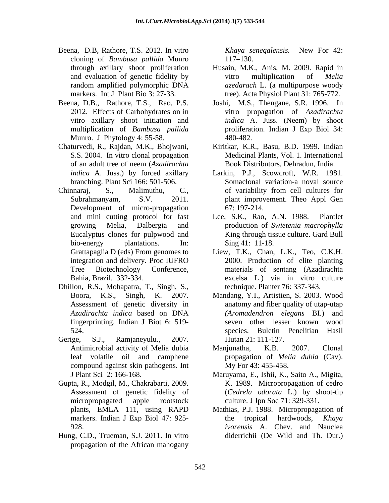- Beena, D.B, Rathore, T.S. 2012. In vitro Khaya senegalensis. New For 42: cloning of *Bambusa pallida* Munro
- Munro. J Phytology 4: 55-58.
- Chaturvedi, R., Rajdan, M.K., Bhojwani, *indica* A. Juss.) by forced axillary
- Chinnaraj, S., Malimuthu, C., of variability from cell cultures for Subrahmanyam, S.V. 2011. plant improvement. Theo Appl Gen Development of micro-propagation 67:197-214.
- Dhillon, R.S., Mohapatra, T., Singh, S., technique. Planter 76: 337-343.<br>Boora, K.S., Singh, K. 2007. Mandang, Y.I., Artistien, S. 2003. Wood fingerprinting. Indian J Biot 6: 519-
- Gerige, S.J., Ramjaneyulu., 2007. Hutan 21: 111-127. compound against skin pathogens. Int
- Gupta, R., Modgil, M., Chakrabarti, 2009. Assessment of genetic fidelity of
- Hung, C.D., Trueman, S.J. 2011. In vitro propagation of the African mahogany

*Khaya senegalensis.* New For 42: 117–130.

- through axillary shoot proliferation Husain, M.K., Anis, M. 2009. Rapid in and evaluation of genetic fidelity by vitro multiplication of *Melia* random amplified polymorphic DNA *azedarach* L. (a multipurpose woody markers. Int J Plant Bio 3: 27-33. tree). Acta Physiol Plant 31: 765-772. vitro multiplication of *Melia*
- Beena, D.B., Rathore, T.S., Rao, P.S. Joshi, M.S., Thengane, S.R. 1996. In 2012. Effects of Carbohydrates on in vitro propagation of *Azadirachta*  vitro axillary shoot initiation and *indica* A. Juss. (Neem) by shoot multiplication of *Bambusa pallida* proliferation. Indian J Exp Biol 34: 480-482.
	- S.S. 2004. In vitro clonal propagation Medicinal Plants, Vol. 1. International of an adult tree of neem (*Azadirachta*  Kiritkar, K.R., Basu, B.D. 1999. Indian Book Distributors, Dehradun, India.
	- branching. Plant Sci 166: 501-506. Somaclonal variation-a noval source Larkin, P.J., Scowcroft, W.R. 1981. of variability from cell cultures for 67: 197-214.
	- and mini cutting protocol for fast Lee, S.K., Rao, A.N. 1988. Plantlet growing Melia, Dalbergia and production of *Swietenia macrophylla*  Eucalyptus clones for pulpwood and King through tissue culture. Gard Bull bio-energy plantations. In: Sing 41: 11-18. Lee, S.K., Rao, A.N. 1988. Sing 41: 11-18.
	- Grattapaglia D (eds) From genomes to Liew, T.K., Chan, L.K., Teo, C.K.H. integration and delivery. Proc IUFRO 2000. Production of elite planting Tree Biotechnology Conference, materials of sentang (Azadirachta Bahia, Brazil. 332-334. excelsa L.) via in vitro culture technique. Planter 76: 337-343.
	- Assessment of genetic diversity in anatomy and fiber quality of utap-utap *Azadirachta indica* based on DNA 524. species. Buletin Penelitian Hasil *(Aromadendron elegans* BI.) and seven other lesser known wood
	- Antimicrobial activity of Melia dubia Manjunatha, K.B. 2007. Clonal leaf volatile oil and camphene propagation of *Melia dubia* (Cav). Manjunatha, K.B. 2007. Clonal My For 43: 455-458.
	- J Plant Sci 2: 166-168. Maruyama, E., Ishii, K., Saito A., Migita, micropropagated apple rootstock culture. J Jpn Soc 71: 329-331. K. 1989. Micropropagation of cedro (*Cedrela odorata* L.) by shoot-tip
	- plants, EMLA 111, using RAPD Mathias, P.J. 1988. Micropropagation of markers. Indian J Exp Biol 47: 925-<br>the tropical hardwoods, Khaya 928. *ivorensis* A. Chev. and Nauclea the tropical hardwoods, *Khaya*  diderrichii (De Wild and Th. Dur.)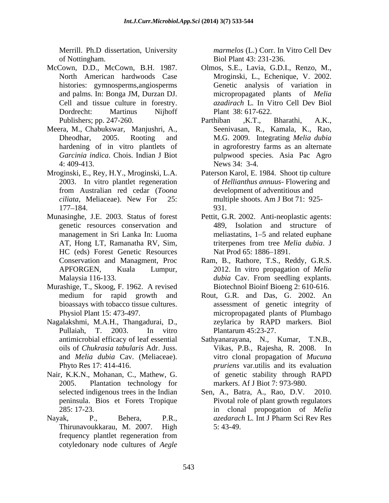Merrill. Ph.D dissertation, University *marmelos* (L.) Corr. In Vitro Cell Dev of Nottingham. Biol Plant 43: 231-236.

- McCown, D.D., McCown, B.H. 1987. histories: gymnosperms,angiosperms Cell and tissue culture in forestry.
- 4: 409-413. News 34: 3-4.
- Mroginski, E., Rey, H.Y., Mroginski, L.A. Paterson Karol, E. 1984. Shoot tip culture
- Munasinghe, J.E. 2003. Status of forest Pettit, G.R. 2002. Anti-neoplastic agents: genetic resources conservation and HC (eds) Forest Genetic Resources Nat Prod 65: 1886–1891.
- Murashige, T., Skoog, F. 1962. A revised
- Nagalakshmi, M.A.H., Thangadurai, D.,<br>
Pullaiah, T. 2003. In vitro Plantarum 45:23-27. and *Melia dubia* Cav. (Meliaceae).
- Nair, K.K.N., Mohanan, C., Mathew, G.
- Nayak, P., Behera, P.R., *azedarach* L. Int J Pharm Sci Rev Res<br>Thirunavoukkarau, M. 2007. High 5: 43-49. frequency plantlet regeneration from cotyledonary node cultures of *Aegle*

- North American hardwoods Case Olmos, S.E., Lavia, G.D.I., Renzo, M., Mroginski, L., Echenique, V. 2002. and palms. In: Bonga JM, Durzan DJ. micropropagated plants of *Melia* Dordrecht: Martinus Nijhoff Plant 38: 617-622. Genetic analysis of variation in *azadirach* L*.* In Vitro Cell Dev Biol Plant 38: 617-622.
- Publishers; pp. 247-260. Parthiban , K.T., Bharathi, A.K., Meera, M., Chabukswar, Manjushri, A., Seenivasan, R., Kamala, K., Rao, Dheodhar, 2005. Rooting and M.G. 2009. Integrating *Melia dubia* hardening of in vitro plantlets of in agroforestry farms as an alternate *Garcinia indica*. Chois. Indian J Biot pulpwood species. Asia Pac Agro Seenivasan, R., Kamala, K., Rao, M.G. 2009. Integrating *Melia dubia* News 34: 3-4.
	- 2003. In vitro plantlet regeneration of *Hellianthus annuus* Flowering and from Australian red cedar (*Toona ciliata*, Meliaceae). New For 25: 177–184. 931. development of adventitious and multiple shoots. Am J Bot 71: 925- 931.
	- management in Sri Lanka In: Luoma meliastatins, 1–5 and related euphane AT, Hong LT, Ramanatha RV, Sim, triterpenes from tree *Melia dubia*. J 489, Isolation and structure of Nat Prod 65: 1886–1891.
	- Conservation and Managment, Proc Ram, B., Rathore, T.S., Reddy, G.R.S. APFORGEN, Kuala Lumpur, 2012. In vitro propagation of *Melia*  Malaysia 116-133. *dubia* Cav. From seedling explants. Biotechnol Bioinf Bioeng 2: 610-616.
	- medium for rapid growth and Rout, G.R. and Das, G. 2002. An bioassays with tobacco tissue cultures. assessment of genetic integrity of Physiol Plant 15: 473-497. micropropagated plants of Plumbago zeylarica by RAPD markers. Biol Plantarum 45:23-27.
	- antimicrobial efficacy of leaf essential oils of *Chukrasia tabularis* Adr. Juss. Phyto Res 17: 414-416. *pruriens* var.utilis and its evaluation 2005. Plantation technology for markers. Af J Biot 7: 973-980. Sathyanarayana, N., Kumar, T.N.B., Vikas, P.B., Rajesha, R. 2008. In vitro clonal propagation of *Mucuna*  of genetic stability through RAPD
	- selected indigenous trees in the Indian Sen, A., Batra, A., Rao, D.V. 2010. peninsula. Bios et Forets Tropique Pivotal role of plant growth regulators 285: 17-23. in clonal propogation of *Melia*  Sen, A., Batra, A., Rao, D.V. *azedarach* L*.* Int J Pharm Sci Rev Res 5: 43-49.